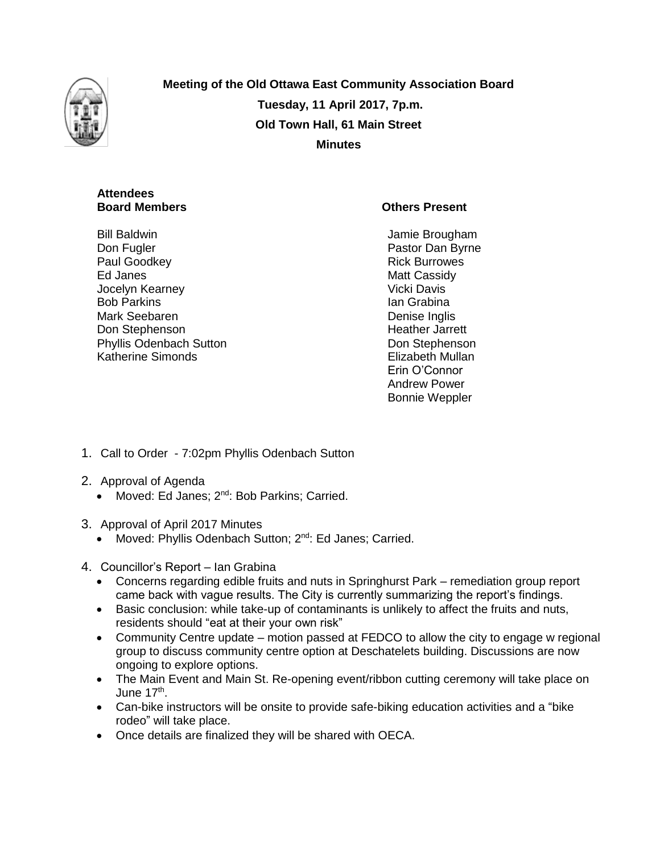

**Meeting of the Old Ottawa East Community Association Board Tuesday, 11 April 2017, 7p.m. Old Town Hall, 61 Main Street Minutes**

# **Attendees Board Members Community Community Community Community Community Community Community Community Community Community Community Community Community Community Community Community Community Community Community Community Communi**

Bill Baldwin Don Fugler Paul Goodkey Ed Janes Jocelyn Kearney Bob Parkins Mark Seebaren Don Stephenson Phyllis Odenbach Sutton Katherine Simonds

Jamie Brougham Pastor Dan Byrne Rick Burrowes Matt Cassidy Vicki Davis Ian Grabina Denise Inglis Heather Jarrett Don Stephenson Elizabeth Mullan Erin O'Connor Andrew Power Bonnie Weppler

- 1. Call to Order 7:02pm Phyllis Odenbach Sutton
- 2. Approval of Agenda
	- Moved: Ed Janes; 2<sup>nd</sup>: Bob Parkins; Carried.
- 3. Approval of April 2017 Minutes
	- Moved: Phyllis Odenbach Sutton; 2<sup>nd</sup>: Ed Janes; Carried.
- 4. Councillor's Report Ian Grabina
	- Concerns regarding edible fruits and nuts in Springhurst Park remediation group report came back with vague results. The City is currently summarizing the report's findings.
	- Basic conclusion: while take-up of contaminants is unlikely to affect the fruits and nuts, residents should "eat at their your own risk"
	- Community Centre update motion passed at FEDCO to allow the city to engage w regional group to discuss community centre option at Deschatelets building. Discussions are now ongoing to explore options.
	- The Main Event and Main St. Re-opening event/ribbon cutting ceremony will take place on June 17<sup>th</sup>.
	- Can-bike instructors will be onsite to provide safe-biking education activities and a "bike rodeo" will take place.
	- Once details are finalized they will be shared with OECA.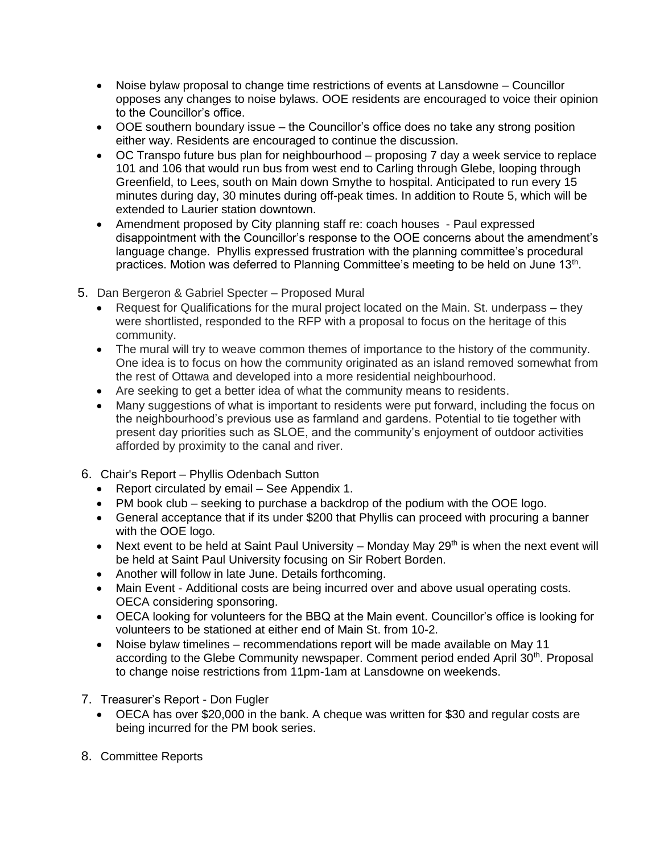- Noise bylaw proposal to change time restrictions of events at Lansdowne Councillor opposes any changes to noise bylaws. OOE residents are encouraged to voice their opinion to the Councillor's office.
- OOE southern boundary issue the Councillor's office does no take any strong position either way. Residents are encouraged to continue the discussion.
- OC Transpo future bus plan for neighbourhood proposing 7 day a week service to replace 101 and 106 that would run bus from west end to Carling through Glebe, looping through Greenfield, to Lees, south on Main down Smythe to hospital. Anticipated to run every 15 minutes during day, 30 minutes during off-peak times. In addition to Route 5, which will be extended to Laurier station downtown.
- Amendment proposed by City planning staff re: coach houses Paul expressed disappointment with the Councillor's response to the OOE concerns about the amendment's language change. Phyllis expressed frustration with the planning committee's procedural practices. Motion was deferred to Planning Committee's meeting to be held on June 13<sup>th</sup>.
- 5. Dan Bergeron & Gabriel Specter Proposed Mural
	- Request for Qualifications for the mural project located on the Main. St. underpass they were shortlisted, responded to the RFP with a proposal to focus on the heritage of this community.
	- The mural will try to weave common themes of importance to the history of the community. One idea is to focus on how the community originated as an island removed somewhat from the rest of Ottawa and developed into a more residential neighbourhood.
	- Are seeking to get a better idea of what the community means to residents.
	- Many suggestions of what is important to residents were put forward, including the focus on the neighbourhood's previous use as farmland and gardens. Potential to tie together with present day priorities such as SLOE, and the community's enjoyment of outdoor activities afforded by proximity to the canal and river.
- 6. Chair's Report Phyllis Odenbach Sutton
	- Report circulated by email See Appendix 1.
	- PM book club seeking to purchase a backdrop of the podium with the OOE logo.
	- General acceptance that if its under \$200 that Phyllis can proceed with procuring a banner with the OOE logo.
	- Next event to be held at Saint Paul University Monday May  $29<sup>th</sup>$  is when the next event will be held at Saint Paul University focusing on Sir Robert Borden.
	- Another will follow in late June. Details forthcoming.
	- Main Event Additional costs are being incurred over and above usual operating costs. OECA considering sponsoring.
	- OECA looking for volunteers for the BBQ at the Main event. Councillor's office is looking for volunteers to be stationed at either end of Main St. from 10-2.
	- Noise bylaw timelines recommendations report will be made available on May 11 according to the Glebe Community newspaper. Comment period ended April 30<sup>th</sup>. Proposal to change noise restrictions from 11pm-1am at Lansdowne on weekends.
- 7. Treasurer's Report Don Fugler
	- OECA has over \$20,000 in the bank. A cheque was written for \$30 and regular costs are being incurred for the PM book series.
- 8. Committee Reports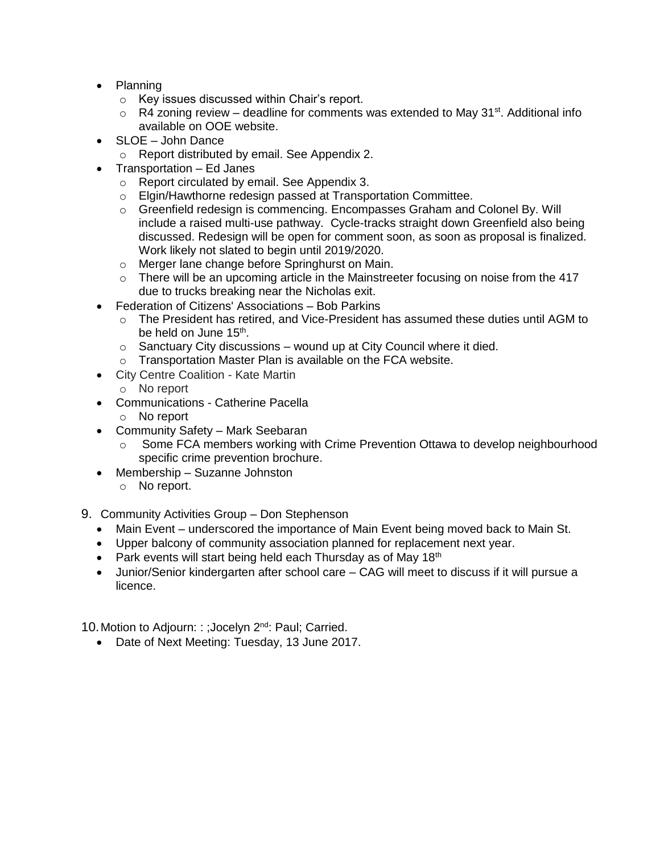- Planning
	- o Key issues discussed within Chair's report.
	- $\circ$  R4 zoning review deadline for comments was extended to May 31<sup>st</sup>. Additional info available on OOE website.
- SLOE John Dance
	- o Report distributed by email. See Appendix 2.
- Transportation Ed Janes
	- o Report circulated by email. See Appendix 3.
	- o Elgin/Hawthorne redesign passed at Transportation Committee.
	- o Greenfield redesign is commencing. Encompasses Graham and Colonel By. Will include a raised multi-use pathway. Cycle-tracks straight down Greenfield also being discussed. Redesign will be open for comment soon, as soon as proposal is finalized. Work likely not slated to begin until 2019/2020.
	- o Merger lane change before Springhurst on Main.
	- $\circ$  There will be an upcoming article in the Mainstreeter focusing on noise from the 417 due to trucks breaking near the Nicholas exit.
- Federation of Citizens' Associations Bob Parkins
	- o The President has retired, and Vice-President has assumed these duties until AGM to be held on June 15<sup>th</sup>.
	- $\circ$  Sanctuary City discussions wound up at City Council where it died.
	- o Transportation Master Plan is available on the FCA website.
- City Centre Coalition Kate Martin
	- o No report
- Communications Catherine Pacella
	- o No report
- Community Safety Mark Seebaran
	- o Some FCA members working with Crime Prevention Ottawa to develop neighbourhood specific crime prevention brochure.
- Membership Suzanne Johnston
	- o No report.
- 9. Community Activities Group Don Stephenson
	- Main Event underscored the importance of Main Event being moved back to Main St.
	- Upper balcony of community association planned for replacement next year.
	- Park events will start being held each Thursday as of May 18<sup>th</sup>
	- Junior/Senior kindergarten after school care CAG will meet to discuss if it will pursue a licence.

10. Motion to Adjourn: : ; Jocelyn 2<sup>nd</sup>: Paul; Carried.

• Date of Next Meeting: Tuesday, 13 June 2017.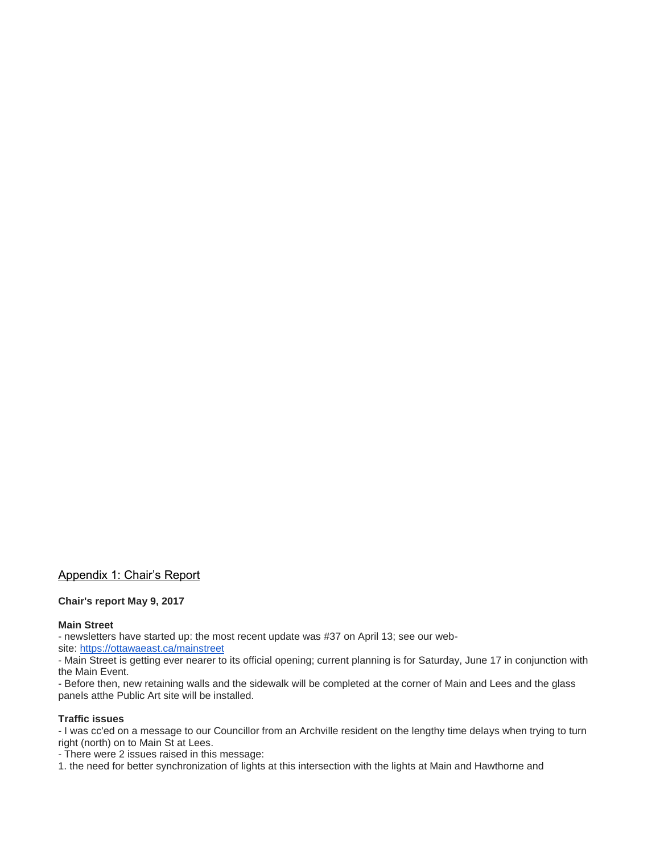# Appendix 1: Chair's Report

## **Chair's report May 9, 2017**

## **Main Street**

- newsletters have started up: the most recent update was #37 on April 13; see our web-

site: <https://ottawaeast.ca/mainstreet>

- Main Street is getting ever nearer to its official opening; current planning is for Saturday, June 17 in conjunction with the Main Event.

- Before then, new retaining walls and the sidewalk will be completed at the corner of Main and Lees and the glass panels atthe Public Art site will be installed.

## **Traffic issues**

- I was cc'ed on a message to our Councillor from an Archville resident on the lengthy time delays when trying to turn right (north) on to Main St at Lees.

- There were 2 issues raised in this message:

1. the need for better synchronization of lights at this intersection with the lights at Main and Hawthorne and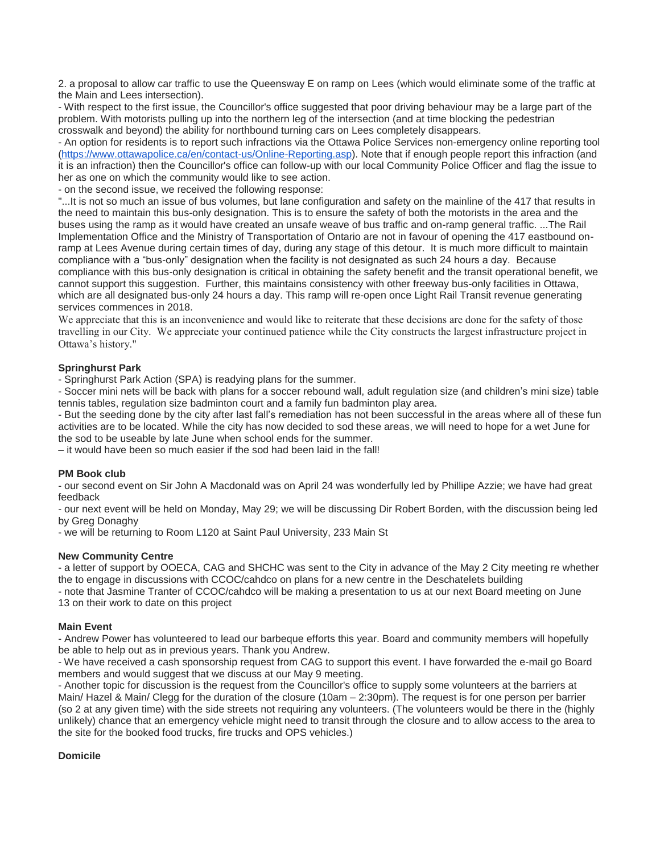2. a proposal to allow car traffic to use the Queensway E on ramp on Lees (which would eliminate some of the traffic at the Main and Lees intersection).

- With respect to the first issue, the Councillor's office suggested that poor driving behaviour may be a large part of the problem. With motorists pulling up into the northern leg of the intersection (and at time blocking the pedestrian crosswalk and beyond) the ability for northbound turning cars on Lees completely disappears.

- An option for residents is to report such infractions via the Ottawa Police Services non-emergency online reporting tool [\(https://www.ottawapolice.ca/en/contact-us/Online-Reporting.asp\)](https://www.ottawapolice.ca/en/contact-us/Online-Reporting.asp). Note that if enough people report this infraction (and it is an infraction) then the Councillor's office can follow-up with our local Community Police Officer and flag the issue to her as one on which the community would like to see action.

- on the second issue, we received the following response:

"...It is not so much an issue of bus volumes, but lane configuration and safety on the mainline of the 417 that results in the need to maintain this bus-only designation. This is to ensure the safety of both the motorists in the area and the buses using the ramp as it would have created an unsafe weave of bus traffic and on-ramp general traffic. ...The Rail Implementation Office and the Ministry of Transportation of Ontario are not in favour of opening the 417 eastbound onramp at Lees Avenue during certain times of day, during any stage of this detour. It is much more difficult to maintain compliance with a "bus-only" designation when the facility is not designated as such 24 hours a day. Because compliance with this bus-only designation is critical in obtaining the safety benefit and the transit operational benefit, we cannot support this suggestion. Further, this maintains consistency with other freeway bus-only facilities in Ottawa, which are all designated bus-only 24 hours a day. This ramp will re-open once Light Rail Transit revenue generating services commences in 2018.

We appreciate that this is an inconvenience and would like to reiterate that these decisions are done for the safety of those travelling in our City. We appreciate your continued patience while the City constructs the largest infrastructure project in Ottawa's history."

# **Springhurst Park**

- Springhurst Park Action (SPA) is readying plans for the summer.

- Soccer mini nets will be back with plans for a soccer rebound wall, adult regulation size (and children's mini size) table tennis tables, regulation size badminton court and a family fun badminton play area.

- But the seeding done by the city after last fall's remediation has not been successful in the areas where all of these fun activities are to be located. While the city has now decided to sod these areas, we will need to hope for a wet June for the sod to be useable by late June when school ends for the summer.

– it would have been so much easier if the sod had been laid in the fall!

## **PM Book club**

- our second event on Sir John A Macdonald was on April 24 was wonderfully led by Phillipe Azzie; we have had great feedback

- our next event will be held on Monday, May 29; we will be discussing Dir Robert Borden, with the discussion being led by Greg Donaghy

- we will be returning to Room L120 at Saint Paul University, 233 Main St

## **New Community Centre**

- a letter of support by OOECA, CAG and SHCHC was sent to the City in advance of the May 2 City meeting re whether the to engage in discussions with CCOC/cahdco on plans for a new centre in the Deschatelets building

- note that Jasmine Tranter of CCOC/cahdco will be making a presentation to us at our next Board meeting on June 13 on their work to date on this project

## **Main Event**

- Andrew Power has volunteered to lead our barbeque efforts this year. Board and community members will hopefully be able to help out as in previous years. Thank you Andrew.

- We have received a cash sponsorship request from CAG to support this event. I have forwarded the e-mail go Board members and would suggest that we discuss at our May 9 meeting.

- Another topic for discussion is the request from the Councillor's office to supply some volunteers at the barriers at Main/ Hazel & Main/ Clegg for the duration of the closure (10am – 2:30pm). The request is for one person per barrier (so 2 at any given time) with the side streets not requiring any volunteers. (The volunteers would be there in the (highly unlikely) chance that an emergency vehicle might need to transit through the closure and to allow access to the area to the site for the booked food trucks, fire trucks and OPS vehicles.)

## **Domicile**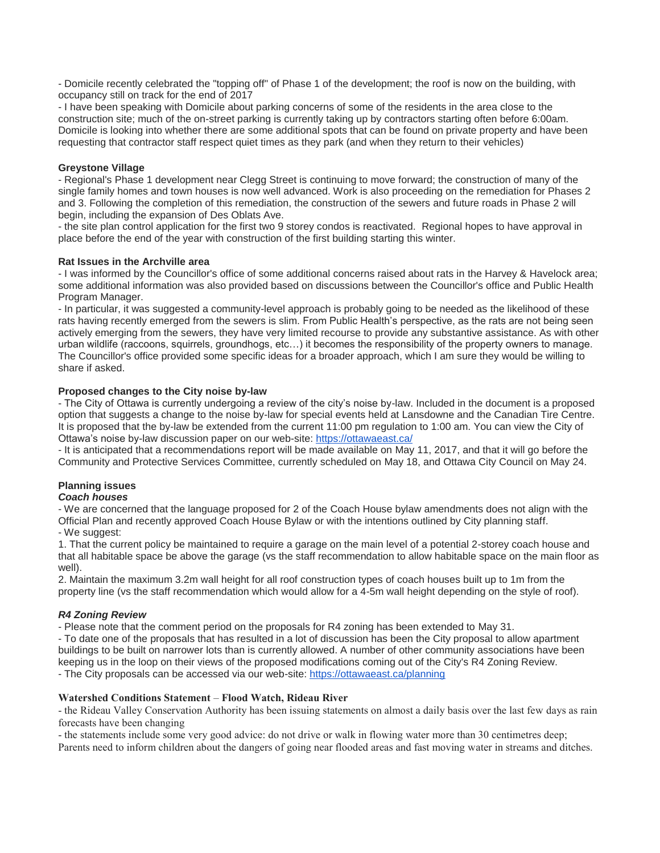- Domicile recently celebrated the "topping off" of Phase 1 of the development; the roof is now on the building, with occupancy still on track for the end of 2017

- I have been speaking with Domicile about parking concerns of some of the residents in the area close to the construction site; much of the on-street parking is currently taking up by contractors starting often before 6:00am. Domicile is looking into whether there are some additional spots that can be found on private property and have been requesting that contractor staff respect quiet times as they park (and when they return to their vehicles)

# **Greystone Village**

- Regional's Phase 1 development near Clegg Street is continuing to move forward; the construction of many of the single family homes and town houses is now well advanced. Work is also proceeding on the remediation for Phases 2 and 3. Following the completion of this remediation, the construction of the sewers and future roads in Phase 2 will begin, including the expansion of Des Oblats Ave.

- the site plan control application for the first two 9 storey condos is reactivated. Regional hopes to have approval in place before the end of the year with construction of the first building starting this winter.

# **Rat Issues in the Archville area**

- I was informed by the Councillor's office of some additional concerns raised about rats in the Harvey & Havelock area; some additional information was also provided based on discussions between the Councillor's office and Public Health Program Manager.

- In particular, it was suggested a community-level approach is probably going to be needed as the likelihood of these rats having recently emerged from the sewers is slim. From Public Health's perspective, as the rats are not being seen actively emerging from the sewers, they have very limited recourse to provide any substantive assistance. As with other urban wildlife (raccoons, squirrels, groundhogs, etc…) it becomes the responsibility of the property owners to manage. The Councillor's office provided some specific ideas for a broader approach, which I am sure they would be willing to share if asked.

# **Proposed changes to the City noise by-law**

- The City of Ottawa is currently undergoing a review of the city's noise by-law. Included in the document is a proposed option that suggests a change to the noise by-law for special events held at Lansdowne and the Canadian Tire Centre. It is proposed that the by-law be extended from the current 11:00 pm regulation to 1:00 am. You can view the City of Ottawa's noise by-law discussion paper on our web-site: <https://ottawaeast.ca/>

- It is anticipated that a recommendations report will be made available on May 11, 2017, and that it will go before the Community and Protective Services Committee, currently scheduled on May 18, and Ottawa City Council on May 24.

# **Planning issues**

# *Coach houses*

- We are concerned that the language proposed for 2 of the Coach House bylaw amendments does not align with the Official Plan and recently approved Coach House Bylaw or with the intentions outlined by City planning staff. - We suggest:

1. That the current policy be maintained to require a garage on the main level of a potential 2-storey coach house and that all habitable space be above the garage (vs the staff recommendation to allow habitable space on the main floor as well).

2. Maintain the maximum 3.2m wall height for all roof construction types of coach houses built up to 1m from the property line (vs the staff recommendation which would allow for a 4-5m wall height depending on the style of roof).

# *R4 Zoning Review*

- Please note that the comment period on the proposals for R4 zoning has been extended to May 31.

- To date one of the proposals that has resulted in a lot of discussion has been the City proposal to allow apartment buildings to be built on narrower lots than is currently allowed. A number of other community associations have been keeping us in the loop on their views of the proposed modifications coming out of the City's R4 Zoning Review.

- The City proposals can be accessed via our web-site: <https://ottawaeast.ca/planning>

# **Watershed Conditions Statement** – **Flood Watch, Rideau River**

- the Rideau Valley Conservation Authority has been issuing statements on almost a daily basis over the last few days as rain forecasts have been changing

- the statements include some very good advice: do not drive or walk in flowing water more than 30 centimetres deep; Parents need to inform children about the dangers of going near flooded areas and fast moving water in streams and ditches.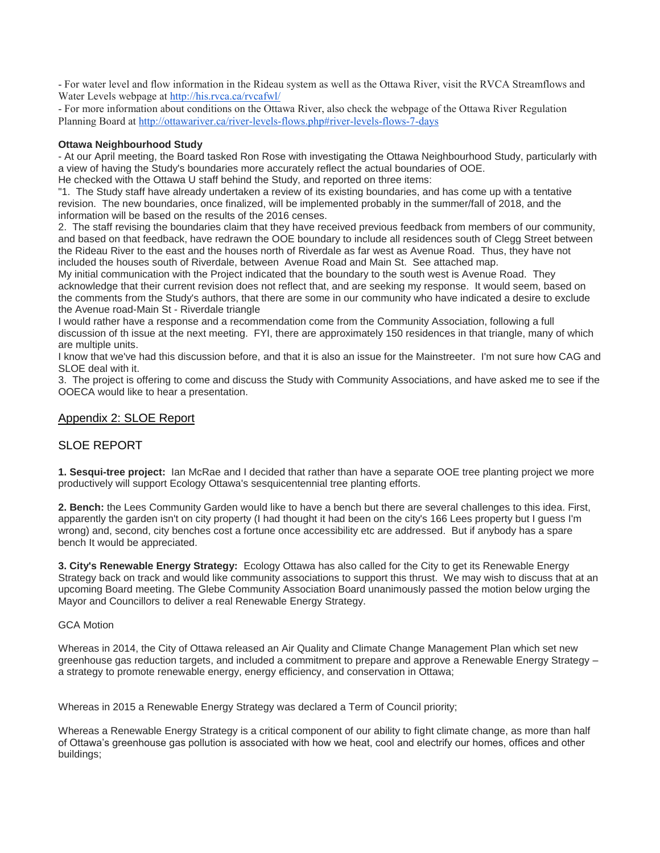- For water level and flow information in the Rideau system as well as the Ottawa River, visit the RVCA Streamflows and Water Levels webpage at <http://his.rvca.ca/rvcafwl/>

- For more information about conditions on the Ottawa River, also check the webpage of the Ottawa River Regulation Planning Board at <http://ottawariver.ca/river-levels-flows.php#river-levels-flows-7-days>

## **Ottawa Neighbourhood Study**

- At our April meeting, the Board tasked Ron Rose with investigating the Ottawa Neighbourhood Study, particularly with a view of having the Study's boundaries more accurately reflect the actual boundaries of OOE.

He checked with the Ottawa U staff behind the Study, and reported on three items:

"1. The Study staff have already undertaken a review of its existing boundaries, and has come up with a tentative revision. The new boundaries, once finalized, will be implemented probably in the summer/fall of 2018, and the information will be based on the results of the 2016 censes.

2. The staff revising the boundaries claim that they have received previous feedback from members of our community, and based on that feedback, have redrawn the OOE boundary to include all residences south of Clegg Street between the Rideau River to the east and the houses north of Riverdale as far west as Avenue Road. Thus, they have not included the houses south of Riverdale, between Avenue Road and Main St. See attached map.

My initial communication with the Project indicated that the boundary to the south west is Avenue Road. They acknowledge that their current revision does not reflect that, and are seeking my response. It would seem, based on the comments from the Study's authors, that there are some in our community who have indicated a desire to exclude the Avenue road-Main St - Riverdale triangle

I would rather have a response and a recommendation come from the Community Association, following a full discussion of th issue at the next meeting. FYI, there are approximately 150 residences in that triangle, many of which are multiple units.

I know that we've had this discussion before, and that it is also an issue for the Mainstreeter. I'm not sure how CAG and SLOE deal with it.

3. The project is offering to come and discuss the Study with Community Associations, and have asked me to see if the OOECA would like to hear a presentation.

# Appendix 2: SLOE Report

# SLOE REPORT

**1. Sesqui-tree project:** Ian McRae and I decided that rather than have a separate OOE tree planting project we more productively will support Ecology Ottawa's sesquicentennial tree planting efforts.

**2. Bench:** the Lees Community Garden would like to have a bench but there are several challenges to this idea. First, apparently the garden isn't on city property (I had thought it had been on the city's 166 Lees property but I guess I'm wrong) and, second, city benches cost a fortune once accessibility etc are addressed. But if anybody has a spare bench It would be appreciated.

**3. City's Renewable Energy Strategy:** Ecology Ottawa has also called for the City to get its Renewable Energy Strategy back on track and would like community associations to support this thrust. We may wish to discuss that at an upcoming Board meeting. The Glebe Community Association Board unanimously passed the motion below urging the Mayor and Councillors to deliver a real Renewable Energy Strategy.

## GCA Motion

Whereas in 2014, the City of Ottawa released an Air Quality and Climate Change Management Plan which set new greenhouse gas reduction targets, and included a commitment to prepare and approve a Renewable Energy Strategy – a strategy to promote renewable energy, energy efficiency, and conservation in Ottawa;

Whereas in 2015 a Renewable Energy Strategy was declared a Term of Council priority;

Whereas a Renewable Energy Strategy is a critical component of our ability to fight climate change, as more than half of Ottawa's greenhouse gas pollution is associated with how we heat, cool and electrify our homes, offices and other buildings;